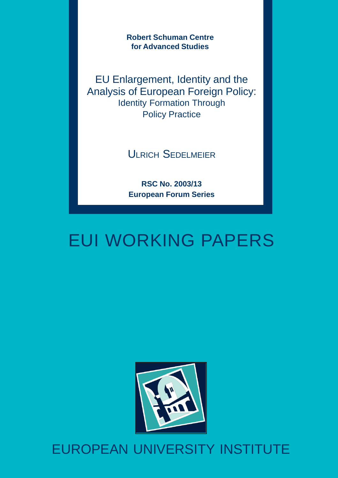**Robert Schuman Centre for Advanced Studies**

EU Enlargement, Identity and the Analysis of European Foreign Policy: Identity Formation Through Policy Practice

ULRICH SEDELMEIER

**RSC No. 2003/13 European Forum Series**

# EUI WORKING PAPERS



# EUROPEAN UNIVERSITY INSTITUTE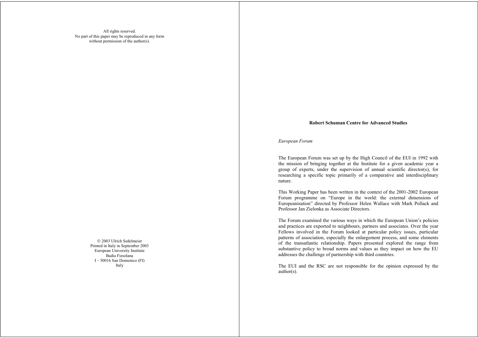All rights reserved. No part of this paper may be reproduced in any form without permission of the author(s).

> 2003 Ulrich Sedelmeier Printed in Italy in September 2003 European University Institute Badia Fiesolana I – 50016 San Domenico (FI) Italy

#### **Robert Schuman Centre for Advanced Studies**

*European Forum*

The European Forum was set up by the High Council of the EUI in 1992 with the mission of bringing together at the Institute for a given academic year a group of experts, under the supervision of annual scientific director(s), for researching a specific topic primarily of a comparative and interdisciplinary nature.

This Working Paper has been written in the context of the 2001-2002 European Forum programme on "Europe in the world: the external dimensions of Europeanisation" directed by Professor Helen Wallace with Mark Pollack and Professor Jan Zielonka as Associate Directors.

The Forum examined the various ways in which the European Union's policies and practices are exported to neighbours, partners and associates. Over the year Fellows involved in the Forum looked at particular policy issues, particular patterns of association, especially the enlargement process, and some elements of the transatlantic relationship. Papers presented explored the range from substantive policy to broad norms and values as they impact on how the EU addresses the challenge of partnership with third countries.

The EUI and the RSC are not responsible for the opinion expressed by the author(s).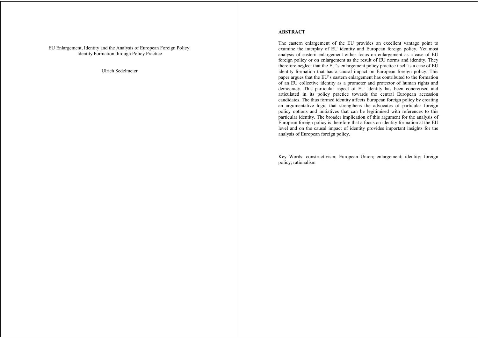EU Enlargement, Identity and the Analysis of European Foreign Policy: Identity Formation through Policy Practice

Ulrich Sedelmeier

#### **ABSTRACT**

The eastern enlargement of the EU provides an excellent vantage point to examine the interplay of EU identity and European foreign policy. Yet most analysis of eastern enlargement either focus on enlargement as a case of EU foreign policy or on enlargement as the result of EU norms and identity. They therefore neglect that the EU's enlargement policy practice itself is a case of EU identity formation that has a causal impact on European foreign policy. This paper argues that the EU's eastern enlargement has contributed to the formation of an EU collective identity as a promoter and protector of human rights and democracy. This particular aspect of EU identity has been concretised and articulated in its policy practice towards the central European accession candidates. The thus formed identity affects European foreign policy by creating an argumentative logic that strengthens the advocates of particular foreign policy options and initiatives that can be legitimised with references to this particular identity. The broader implication of this argument for the analysis of European foreign policy is therefore that a focus on identity formation at the EU level and on the causal impact of identity provides important insights for the analysis of European foreign policy.

Key Words: constructivism; European Union; enlargement; identity; foreign policy; rationalism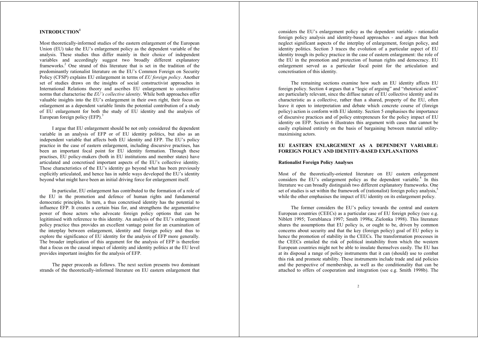# **INTRODUCTION<sup>1</sup>**

Most theoretically-informed studies of the eastern enlargement of the European Union (EU) take the EU's enlargement policy as the dependent variable of the analysis. These studies thus differ mainly in their choice of independent variables and accordingly suggest two broadly different explanatory frameworks.2 One strand of this literature that is set in the tradition of the predominantly rationalist literature on the EU's Common Foreign on Security Policy (CFSP) explains EU enlargement in terms of *EU foreign policy*. Another set of studies draws on the insights of social constructivist approaches in International Relations theory and ascribes EU enlargement to constitutive norms that characterise the *EU's collective identity*. While both approaches offer valuable insights into the EU's enlargement in their own right, their focus on enlargement as a dependent variable limits the potential contribution of a study of EU enlargement for both the study of EU identity and the analysis of European foreign policy  $(EFP)<sup>3</sup>$ 

I argue that EU enlargement should be not only considered the dependent variable in an analysis of EFP or of EU identity politics, but also as an independent variable that affects both EU identity and EFP. The EU's policy practice in the case of eastern enlargement, including discursive practises, has been an important focal point for EU identity formation. Through these practises, EU policy-makers (both in EU institutions and member states) have articulated and concretised important aspects of the EU's collective identity. These characteristics of the EU's identity go beyond what has been previously explicitly articulated, and hence has in subtle ways developed the EU's identity beyond what might have been an initial driving force for enlargement itself.

In particular, EU enlargement has contributed to the formation of a role of the EU in the promotion and defence of human rights and fundamental democratic principles. In turn, a thus concretised identity has the potential to influence EFP. It creates a certain bias for, and strengthens the argumentative power of those actors who advocate foreign policy options that can be legitimised with reference to this identity. An analysis of the EU's enlargement policy practice thus provides an excellent vantage point for an examination of the interplay between enlargement, identity and foreign policy and thus to explore the significance of EU identity for the analysis of EFP more generally. The broader implication of this argument for the analysis of EFP is therefore that a focus on the causal impact of identity and identity politics at the EU level provides important insights for the analysis of EFP.

The paper proceeds as follows. The next section presents two dominant strands of the theoretically-informed literature on EU eastern enlargement that considers the EU's enlargement policy as the dependent variable - rationalist foreign policy analysis and identity-based approaches - and argues that both neglect significant aspects of the interplay of enlargement, foreign policy, and identity politics. Section 3 traces the evolution of a particular aspect of EU identity trough its policy practice in the case of eastern enlargement: the role of the EU in the promotion and protection of human rights and democracy. EU enlargement served as a particular focal point for the articulation and concretisation of this identity.

The remaining sections examine how such an EU identity affects EU foreign policy. Section 4 argues that a "logic of arguing" and "rhetorical action" are particularly relevant, since the diffuse nature of EU collective identity and its characteristic as a collective, rather than a shared, property of the EU, often leave it open to interpretation and debate which concrete course of (foreign policy) action is conform with EU identity. Section 5 emphasises the importance of discursive practices and of policy entrepreneurs for the policy impact of EU identity on EFP. Section 6 illustrates this argument with cases that cannot be easily explained entirely on the basis of bargaining between material utilitymaximising actors.

## **EU EASTERN ENLARGEMENT AS A DEPENDENT VARIABLE: FOREIGN POLICY AND IDENTITY-BASED EXPLANATIONS**

#### **Rationalist Foreign Policy Analyses**

Most of the theoretically-oriented literature on EU eastern enlargement considers the EU's enlargement policy as the dependent variable.<sup>4</sup> In this literature we can broadly distinguish two different explanatory frameworks. One set of studies is set within the framework of (rationalist) foreign policy analysis,<sup>5</sup> while the other emphasises the impact of EU identity on its enlargement policy.

The former considers the EU's policy towards the central and eastern European countries (CEECs) as a particular case of EU foreign policy (see e.g. Niblett 1995; Torreblanca 1997; Smith 1998a; Zielonka 1998). This literature shares the assumptions that EU policy is, or ought to be, driven by common concerns about security and that the key (foreign policy) goal of EU policy is hence the promotion of stability in the CEECs. The transformation processes in the CEECs entailed the risk of political instability from which the western European countries might not be able to insulate themselves easily. The EU has at its disposal a range of policy instruments that it can (should) use to combat this risk and promote stability. These instruments include trade and aid policies and the perspective of membership, as well as the conditionality that can be attached to offers of cooperation and integration (see e.g. Smith 1998b). The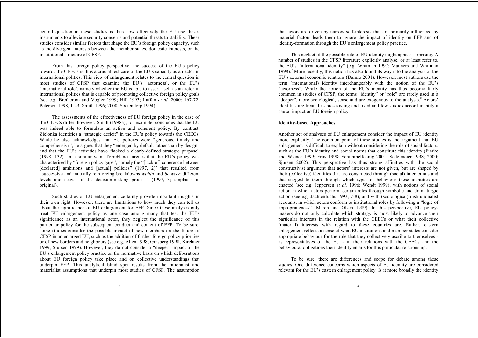central question in these studies is thus how effectively the EU use theses instruments to alleviate security concerns and potential threats to stability. These studies consider similar factors that shape the EU's foreign policy capacity, such as the divergent interests between the member states, domestic interests, or the institutional structure of CFSP.

From this foreign policy perspective, the success of the EU's policy towards the CEECs is thus a crucial test case of the EU's capacity as an actor in international politics. This view of enlargement relates to the central question in most studies of CFSP that examine the EU's 'actorness', or the EU's 'international role', namely whether the EU is able to assert itself as an actor in international politics that is capable of promoting collective foreign policy goals (see e.g. Bretherton and Vogler 1999; Hill 1993; Laffan *et al.* 2000: 167-72; Peterson 1998, 11-3; Smith 1996; 2000; Soetendorp 1994).

The assessments of the effectiveness of EU foreign policy in the case of the CEECs differ, however. Smith (1998a), for example, concludes that the EU was indeed able to formulate an active and coherent policy. By contrast, Zielonka identifies a "strategic deficit" in the EU's policy towards the CEECs. While he also acknowledges that EU policies were "generous, timely and comprehensive", he argues that they "emerged by default rather than by design" and that the EU's activities have "lacked a clearly-defined strategic purpose" (1998, 132). In a similar vein, Torreblanca argues that the EU's policy was characterised by "foreign policy gaps", namely the "[lack of] coherence between [declared] ambitions and [actual] policies"  $(1997, 2)^6$  that resulted from "successive and mutually reinforcing breakdowns *within* and *between* different levels and stages of the decision-making process" (1997, 3; emphasis in original).

Such studies of EU enlargement certainly provide important insights in their own right. However, there are limitations to how much they can tell us about the significance of EU enlargement for EFP. Since these analyses only treat EU enlargement policy as one case among many that test the EU's significance as an international actor, they neglect the significance of this particular policy for the subsequent conduct and content of EFP. To be sure, some studies consider the possible impact of new members on the future of CFSP in an enlarged EU, such as the addition of further foreign policy priorities or of new borders and neighbours (see e.g. Allen 1998; Ginsberg 1998; Kirchner 1999; Sjursen 1999). However, they do not consider a "deeper" impact of the EU's enlargement policy practice on the normative basis on which deliberations about EU foreign policy take place and on collective understandings that underpin EFP. This analytical blind spot results from the rationalist and materialist assumptions that underpin most studies of CFSP. The assumption

that actors are driven by narrow self-interests that are primarily influenced by material factors leads them to ignore the impact of identity on EFP and of identity-formation through the EU's enlargement policy practice.

This neglect of the possible role of EU identity might appear surprising. A number of studies in the CFSP literature explicitly analyse, or at least refer to, the EU's "international identity" (e.g. Whitman 1997; Manners and Whitman 1998).<sup>7</sup> More recently, this notion has also found its way into the analysis of the EU's external economic relations (Damro 2001). However, most authors use the term (international) identity interchangeably with the notion of the EU's "actorness". While the notion of the EU's identity has thus become fairly common in studies of CFSP, the terms "identity" or "role" are rarely used in a "deeper", more sociological, sense and are exogenous to the analysis.<sup>8</sup> Actors' identities are treated as pre-existing and fixed and few studies accord identity a causal impact on EU foreign policy.

#### **Identity-based Approaches**

Another set of analyses of EU enlargement consider the impact of EU identity more explicitly. The common point of these studies is the argument that EU enlargement is difficult to explain without considering the role of social factors, such as the EU's identity and social norms that constitute this identity (Fierke and Wiener 1999; Friis 1998; Schimmelfennig 2001; Sedelmeier 1998; 2000; Sjursen 2002). This perspective has thus strong affinities with the social constructivist argument that actors' interests are not given, but are shaped by their (collective) identities that are constructed through (social) interactions and that suggest to them through which types of behaviour these identities are enacted (see e.g. Jeppersen *et al.* 1996; Wendt 1999); with notions of social action in which actors perform certain roles through symbolic and dramaturgic action (see e.g. Jachtenfuchs 1993, 7-8); and with (sociological) institutionalist accounts, in which actors conform to institutional roles by following a "logic of appropriateness" (March and Olsen 1989). In this perspective, EU policymakers do not only calculate which strategy is most likely to advance their particular interests in the relation with the CEECs or what their collective (material) interests with regard to these countries are. Rather, eastern enlargement reflects a sense of what EU institutions and member states consider appropriate behaviour for the role that they collectively ascribe to themselves as representatives of the EU - in their relations with the CEECs and the behavioural obligations their identity entails for this particular relationship.

To be sure, there are differences and scope for debate among these studies. One difference concerns which aspects of EU identity are considered relevant for the EU's eastern enlargement policy. Is it more broadly the identity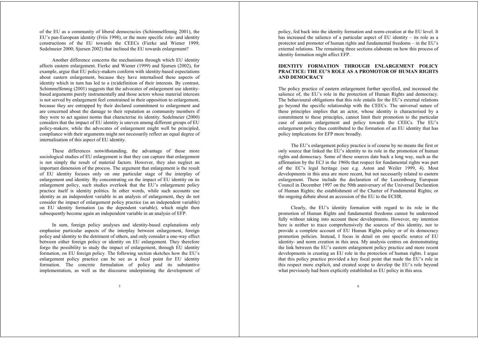of the EU as a community of liberal democracies (Schimmelfennig 2001), the EU's pan-European identity (Friis 1998), or the more specific role- and identity constructions of the EU towards the CEECs (Fierke and Wiener 1999; Sedelmeier 2000; Sjursen 2002) that inclined the EU towards enlargement?

Another difference concerns the mechanisms through which EU identity affects eastern enlargement. Fierke and Wiener (1999) and Sjursen (2002), for example, argue that EU policy-makers conform with identity-based expectations about eastern enlargement, because they have internalised these aspects of identity which in turn has led to a (re)definition of their interests. By contrast, Schimmelfennig (2001) suggests that the advocates of enlargement use identitybased arguments purely instrumentally and those actors whose material interests is not served by enlargement feel constrained in their opposition to enlargement, because they are entrapped by their declared commitment to enlargement and are concerned about the damage to their reputation as community members if they were to act against norms that characterise its identity. Sedelmeier (2000) considers that the impact of EU identity is uneven among different groups of EU policy-makers; while the advocates of enlargement might well be principled, compliance with their arguments might not necessarily reflect an equal degree of internalisation of this aspect of EU identity.

These differences notwithstanding, the advantage of these more sociological studies of EU enlargement is that they can capture that enlargement is not simply the result of material factors. However, they also neglect an important dimension of the process. The argument that enlargement is the result of EU identity focuses only on one particular stage of the interplay of enlargement and identity. By concentrating on the impact of EU identity on its enlargement policy, such studies overlook that the EU's enlargement policy practice itself is identity politics. In other words, while such accounts use identity as an independent variable in an analysis of enlargement, they do not consider the impact of enlargement policy practice (as an independent variable) on EU identity formation (as the dependent variable), which might then subsequently become again an independent variable in an analysis of EFP.

In sum, foreign policy analyses and identity-based explanations only emphasise particular aspects of the interplay between enlargement, foreign policy and identity to the detriment of others, and only consider a one-way effect between either foreign policy or identity on EU enlargement. They therefore forgo the possibility to study the impact of enlargement, through EU identity formation, on EU foreign policy. The following section sketches how the EU's enlargement policy practice can be see as a focal point for EU identity formation. The concrete formulation of policy and its substantive implementation, as well as the discourse underpinning the development of policy, fed back into the identity formation and norm-creation at the EU level. It has increased the salience of a particular aspect of EU identity – its role as a protector and promoter of human rights and fundamental freedoms – in the EU's external relations. The remaining three sections elaborate on how this process of identity formation might affect EFP.

# **IDENTITY FORMATION THROUGH ENLARGEMENT POLICY PRACTICE: THE EU'S ROLE AS A PROMOTOR OF HUMAN RIGHTS AND DEMOCRACY**

The policy practice of eastern enlargement further specified, and increased the salience of, the EU's role in the protection of Human Rights and democracy. The behavioural obligations that this role entails for the EU's external relations go beyond the specific relationship with the CEECs. The universal nature of these principles implies that an actor, whose identity is characterised by a commitment to these principles, cannot limit their promotion to the particular case of eastern enlargement and policy towards the CEECs. The EU's enlargement policy thus contributed to the formation of an EU identity that has policy implications for EFP more broadly.

The EU's enlargement policy practice is of course by no means the first or only source that linked the EU's identity to its role in the promotion of human rights and democracy. Some of these sources date back a long way, such as the affirmation by the ECJ in the 1960s that respect for fundamental rights was part of the EC's legal heritage (see e.g. Aston and Weiler 1999, 4). Most developments in this area are more recent, but not necessarily related to eastern enlargement. These include the declaration of the Luxembourg European Council in December 1997 on the 50th anniversary of the Universal Declaration of Human Rights; the establishment of the Charter of Fundamental Rights; or the ongoing debate about an accession of the EU to the ECHR.

Clearly, the EU's identity formation with regard to its role in the promotion of Human Rights and fundamental freedoms cannot be understood fully without taking into account these developments. However, my intention here is neither to trace comprehensively the sources of this identity, nor to provide a complete account of EU Human Rights policy or of its democracy promotion policies. Instead, I focus in detail on one specific source of EU identity- and norm creation in this area. My analysis centres on demonstrating the link between the EU's eastern enlargement policy practice and more recent developments in creating an EU role in the protection of human rights. I argue that this policy practice provided a key focal point that made the EU's role in this respect more explicit, and created scope to develop the EU's role beyond what previously had been explicitly established as EU policy in this area.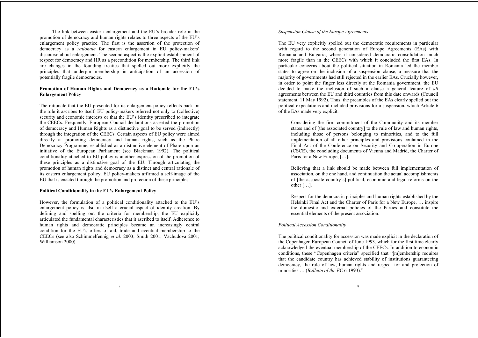The link between eastern enlargement and the EU's broader role in the promotion of democracy and human rights relates to three aspects of the EU's enlargement policy practice. The first is the assertion of the protection of democracy as a *rationale* for eastern enlargement in EU policy-makers' discourse about enlargement. The second aspect is the explicit establishment of respect for democracy and HR as a precondition for membership. The third link are changes in the founding treaties that spelled out more explicitly the principles that underpin membership in anticipation of an accession of potentially fragile democracies.

# **Promotion of Human Rights and Democracy as a Rationale for the EU's Enlargement Policy**

The rationale that the EU presented for its enlargement policy reflects back on the role it ascribes to itself. EU policy-makers referred not only to (collective) security and economic interests or that the EU's identity prescribed to integrate the CEECs. Frequently, European Council declarations asserted the promotion of democracy and Human Rights as a distinctive goal to be served (indirectly) through the integration of the CEECs. Certain aspects of EU policy were aimed directly at promoting democracy and human rights, such as the Phare Democracy Programme, established as a distinctive element of Phare upon an initiative of the European Parliament (see Blackman 1992). The political conditionality attached to EU policy is another expression of the promotion of these principles as a distinctive goal of the EU. Through articulating the promotion of human rights and democracy as a distinct and central rationale of its eastern enlargement policy, EU policy-makers affirmed a self-image of the EU that is enacted through the promotion and protection of these principles.

## **Political Conditionality in the EU's Enlargement Policy**

However, the formulation of a political conditionality attached to the EU's enlargement policy is also in itself a crucial aspect of identity creation. By defining and spelling out the criteria for membership, the EU explicitly articulated the fundamental characteristics that it ascribed to itself. Adherence to human rights and democratic principles became an increasingly central condition for the EU's offers of aid, trade and eventual membership to the CEECs (see also Schimmelfennig *et al.* 2003; Smith 2001; Vachudova 2001; Williamson 2000).

## *Suspension Clause of the Europe Agreements*

The EU very explicitly spelled out the democratic requirements in particular with regard to the second generation of Europe Agreements (EAs) with Romania and Bulgaria, where it considered democratic consolidation much more fragile than in the CEECs with which it concluded the first EAs. In particular concerns about the political situation in Romania led the member states to agree on the inclusion of a suspension clause, a measure that the majority of governments had still rejected in the earlier EAs. Crucially however, in order to point the finger less directly at the Romania government, the EU decided to make the inclusion of such a clause a general feature of *all* agreements between the EU and third countries from this date onwards (Council statement, 11 May 1992). Thus, the preambles of the EAs clearly spelled out the political expectations and included provisions for a suspension, which Article 6 of the EAs made very explicit.

Considering the firm commitment of the Community and its member states and of [the associated country] to the rule of law and human rights, including those of persons belonging to minorities, and to the full implementation of all other principles and provisions contained in the Final Act of the Conference on Security and Co-operation in Europe (CSCE), the concluding documents of Vienna and Madrid, the Charter of Paris for a New Europe, […].

Believing that a link should be made between full implementation of association, on the one hand, and continuation the actual accomplishments of [the associate country's] political, economic and legal reforms on the other […].

Respect for the democratic principles and human rights established by the Helsinki Final Act and the Charter of Paris for a New Europe, … inspire the domestic and external policies of the Parties and constitute the essential elements of the present association.

#### *Political Accession Conditionality*

The political conditionality for accession was made explicit in the declaration of the Copenhagen European Council of June 1993, which for the first time clearly acknowledged the eventual membership of the CEECs. In addition to economic conditions, these "Copenhagen criteria" specified that "[m]embership requires that the candidate country has achieved stability of institutions guaranteeing democracy, the rule of law, human rights and respect for and protection of minorities … (*Bulletin of the EC* 6-1993)."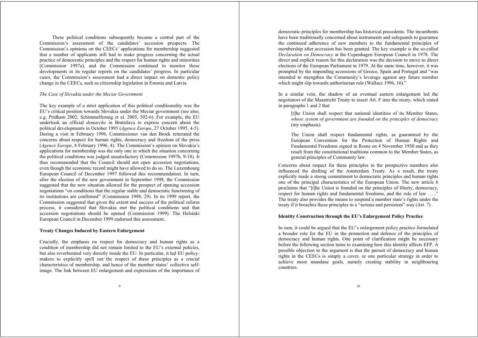These political conditions subsequently became a central part of the Commission's assessment of the candidates' accession prospects. The Commission's opinions on the CEECs' applications for membership suggested that a number of applicants still had to make progress concerning the actual practice of democratic principles and the respect for human rights and minorities (Commission 1997a), and the Commission continued to monitor these developments in its regular reports on the candidates' progress. In particular cases, the Commission's assessment had a direct impact on domestic policy change in the CEECs, such as citizenship legislation in Estonia and Latvia.

#### *The Case of Slovakia under the Meciar Government*

The key example of a strict application of this political conditionality was the EU's critical position towards Slovakia under the Meciar government (see also, e.g. Pridham 2002; Schimmelfennig et al. 2003, 502-6). For example, the EU undertook an official *demarche* in Bratislava to express concern about the political developments in October 1995 (*Agence Europe*, 27 October 1995, 4-5). During a visit in February 1996, Commissioner van den Broek reiterated the concerns about respect for human rights, democracy and freedom of the press (*Agence Europe*, 8 February 1996, 4). The Commission's opinion on Slovakia's applications for membership was the only one in which the situation concerning the political conditions was judged unsatisfactory (Commission 1997b, 9-18). It thus recommended that the Council should not open accession negotiations, even though the economic record might have allowed to do so. The Luxembourg European Council of December 1997 followed this recommendation. In turn, after the election of the new government in September 1998, the Commission suggested that the new situation allowed for the prospect of opening accession negotiations "on conditions that the regular stable and democratic functioning of its institutions are confirmed" (Commission 1998, 29). In its 1999 report, the Commission suggested that given the extent and success of the political reform process, it considered that Slovakia met the political conditions and that accession negotiations should be opened (Commission 1999). The Helsinki European Council in December 1999 endorsed this assessment.

#### **Treaty Changes Induced by Eastern Enlargement**

Crucially, the emphasis on respect for democracy and human rights as a condition of membership did not remain limited to the EU's external policies, but also reverberated very directly inside the EU. In particular, it led EU policymakers to explicitly spell out the respect of these principles as a crucial characteristics of membership, and hence of the member states' collective selfimage. The link between EU enlargement and expressions of the importance of democratic principles for membership has historical precedents. The incumbents have been traditionally concerned about instruments and safeguards to guarantee the continued adherence of new members to the fundamental principles of membership after accession has been granted. The key example is the so-called *Declaration on Democracy* at the Copenhagen European Council in 1978. The direct and explicit reason for this declaration was the decision to move to direct elections of the European Parliament in 1979. At the same time, however, it was prompted by the impending accessions of Greece, Spain and Portugal and "was intended to strengthen the Community's leverage against any future member which might slip towards authoritarian rule (Wallace 1996, 16)."

In a similar vein, the shadow of an eventual eastern enlargement led the negotiators of the Maastricht Treaty to insert Art. F into the treaty, which stated in paragraphs 1 and 2 that

[t]he Union shall respect that national identities of its Member States, *whose system of government are founded on the principles of democracy* (my emphasis).

The Union shall respect fundamental rights, as guaranteed by the European Convention for the Protection of Human Rights and Fundamental Freedoms signed in Rome on 4 November 1950 and as they result from the constitutional traditions common to the Member States, as general principles of Community law.

Concerns about respect for these principles in the prospective members also influenced the drafting of the Amsterdam Treaty. As a result, the treaty explicitly made a strong commitment to democratic principles and human rights one of the principal characteristics of the European Union. The new article 6 proclaims that "[t]he Union is founded on the principles of liberty, democracy, respect for human rights and fundamental freedoms, and the rule of law ...." The treaty also provides the means to suspend a member state's rights under the treaty if it breaches these principles in a "serious and persistent" way (Art. 7).

#### **Identity Construction through the EU's Enlargement Policy Practice**

In sum, it could be argued that the EU's enlargement policy practice formulated a broader role for the EU in the promotion and defence of the principles of democracy and human rights. One point of clarification might be necessary before the following section turns to examining how this identity affects EFP. A possible objection to the argument is that the pursuit of democracy and human rights in the CEECs is simply a cover, or one particular strategy in order to achieve more mundane goals, namely creating stability in neighbouring countries.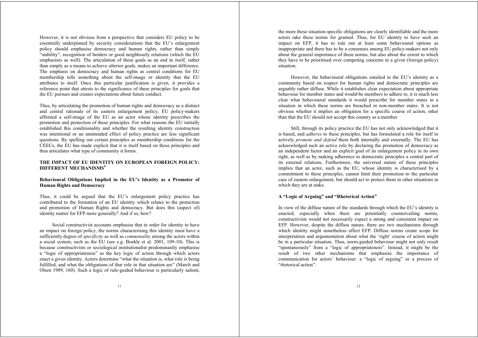However, it is not obvious from a perspective that considers EU policy to be essentially underpinned by security considerations that the EU's enlargement policy should emphasise democracy and human rights, rather than simply "stability", recognition of borders or good neighbourly relations (which the EU emphasises as well). The articulation of these goals as an end in itself, rather than simply as a means to achieve ulterior goals, makes an important difference. The emphasis on democracy and human rights as central conditions for EU membership tells something about the self-image or identity that the EU attributes to itself. Once this particular justification is given, it provides a reference point that attests to the significance of these principles for goals that the EU pursues and creates expectations about future conduct.

Thus, by articulating the promotion of human rights and democracy as a distinct and central rationale of its eastern enlargement policy, EU policy-makers affirmed a self-image of the EU as an actor whose identity prescribes the promotion and protection of these principles. For what reasons the EU initially established this conditionality and whether the resulting identity construction was intentional or an unintended effect of policy practice are less significant questions. By spelling out certain principles as membership conditions for the CEECs, the EU has made explicit that it is itself based on these principles and thus articulates what type of community it forms.

# **THE IMPACT OF EU IDENTITY ON EUROPEAN FOREIGN POLICY: DIFFERENT MECHANISMS<sup>9</sup>**

# **Behavioural Obligations Implied in the EU's Identity as a Promoter of Human Rights and Democracy**

Thus, it could be argued that the EU's enlargement policy practice has contributed to the formation of an EU identity which relates to the protection and promotion of Human Rights and democracy. But does this (aspect of) identity matter for EFP more generally? And if so, how?

Social constructivist accounts emphasise that in order for identity to have an impact on foreign policy, the norms characterising this identity must have a sufficiently degree of *specificity* as well as *commonality* among the actors within a social system, such as the EU (see e.g. Boekle et al. 2001, 109-10). This is because constructivists or sociological institutionalist predominantly emphasise <sup>a</sup>"logic of appropriateness" as the key logic of action through which actors enact a given identity. Actors determine "what the situation is, what role is being fulfilled, and what the obligations of that role in that situation are" (March and Olsen 1989, 160). Such a logic of rule-guided behaviour is particularly salient,

the more these situation-specific obligations are clearly identifiable and the more actors take these norms for granted. Thus, for EU identity to have such an impact on EFP, it has to rule out at least some behavioural options as inappropriate and there has to be a consensus among EU policy-makers not only about the general importance of these norms, but also about the extent to which they have to be prioritised over competing concerns in a given (foreign policy) situation.

However, the behavioural obligations entailed in the EU's identity as a community based on respect for human rights and democratic principles are arguably rather diffuse. While it establishes clear expectation about appropriate behaviour for member states and would-be members to adhere to, it is much less clear what behavioural standards it would prescribe for member states in a situation in which these norms are breached in non-member states. It is not obvious whether it implies an obligation for a specific course of action, other than that the EU should not accept this country as a member.

Still, through its policy practice the EU has not only acknowledged that it is based, and *adheres* to these principles, but has formulated a role for itself to actively *promote and defend* them both internally and externally. The EU has acknowledged such an active role by declaring the promotion of democracy as an independent factor and an explicit goal of its enlargement policy in its own right, as well as by making adherence to democratic principles a central part of its external relations. Furthermore, the universal nature of these principles implies that an actor, such as the EU, whose identity is characterised by a commitment to these principles, cannot limit their promotion to the particular case of eastern enlargement, but should act to protect them in other situations in which they are at stake.

#### **A "Logic of Arguing" and "Rhetorical Action"**

In view of the diffuse nature of the standards through which the EU's identity is enacted, especially when there are potentially countervailing norms, constructivists would not necessarily expect a strong and consistent impact on EFP. However, despite the diffuse nature, there are two mechanisms through which identity might nonetheless affect EFP. Diffuse norms create scope for interpretation and argumentation about what the 'right' course of action might be in a particular situation. Thus, norm-guided behaviour might not only result "spontaneously" from a "logic of appropriateness". Instead, it might be the result of two other mechanisms that emphasise the importance of communication for actors' behaviour: a "logic of arguing" or a process of "rhetorical action".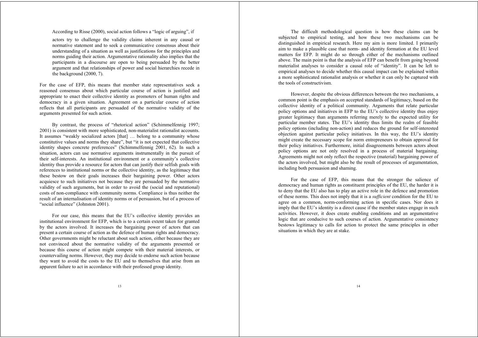According to Risse (2000), social action follows a "logic of arguing", if

actors try to challenge the validity claims inherent in any causal or normative statement and to seek a communicative consensus about their understanding of a situation as well as justifications for the principles and norms guiding their action. Argumentative rationality also implies that the participants in a discourse are open to being persuaded by the better argument and that relationships of power and social hierarchies recede in the background (2000, 7).

For the case of EFP, this means that member state representatives seek a reasoned consensus about which particular course of action is justified and appropriate to enact their collective identity as promoters of human rights and democracy in a given situation. Agreement on a particular course of action reflects that all participants are persuaded of the normative validity of the arguments presented for such action.

By contrast, the process of "rhetorical action" (Schimmelfennig 1997; 2001) is consistent with more sophisticated, non-materialist rationalist accounts. It assumes "weakly socialized actors [that] … belong to a community whose constitutive values and norms they share", but "it is not expected that collective identity shapes concrete preferences" (Schimmelfennig 2001, 62). In such a situation, actors can use normative arguments instrumentally in the pursuit of their self-interests. An institutional environment or a community's collective identity thus provide a resource for actors that can justify their selfish goals with references to institutional norms or the collective identity, as the legitimacy that these bestow on their goals increases their bargaining power. Other actors acquiesce to such initiatives not because they are persuaded by the normative validity of such arguments, but in order to avoid the (social and reputational) costs of non-compliance with community norms. Compliance is thus neither the result of an internalisation of identity norms or of persuasion, but of a process of "social influence" (Johnston 2001).

For our case, this means that the EU's collective identity provides an institutional environment for EFP, which is to a certain extent taken for granted by the actors involved. It increases the bargaining power of actors that can present a certain course of action as the defence of human rights and democracy. Other governments might be reluctant about such action, either because they are not convinced about the normative validity of the arguments presented or because this course of action might compete with their material interests, or countervailing norms. However, they may decide to endorse such action because they want to avoid the costs to the EU and to themselves that arise from an apparent failure to act in accordance with their professed group identity.

The difficult methodological question is how these claims can be subjected to empirical testing, and how these two mechanisms can be distinguished in empirical research. Here my aim is more limited. I primarily aim to make a plausible case that norm- and identity formation at the EU level matters for EFP. It might do so through either of the mechanisms outlined above. The main point is that the analysis of EFP can benefit from going beyond materialist analyses to consider a causal role of "identity". It can be left to empirical analyses to decide whether this causal impact can be explained within a more sophisticated rationalist analysis or whether it can only be captured with the tools of constructivism.

However, despite the obvious differences between the two mechanisms, a common point is the emphasis on accepted standards of legitimacy, based on the collective identity of a political community. Arguments that relate particular policy options and initiatives in EFP to the EU's collective identity thus enjoy greater legitimacy than arguments referring merely to the expected utility for particular member states. The EU's identity thus limits the realm of feasible policy options (including non-action) and reduces the ground for self-interested objection against particular policy initiatives. In this way, the EU's identity might create the necessary scope for norm entrepreneurs to obtain approval for their policy initiatives. Furthermore, initial disagreements between actors about policy options are not only resolved in a process of material bargaining. Agreements might not only reflect the respective (material) bargaining power of the actors involved, but might also be the result of processes of argumentation, including both persuasion and shaming.

For the case of EFP, this means that the stronger the salience of democracy and human rights as constituent principles of the EU, the harder it is to deny that the EU also has to play an active role in the defence and promotion of these norms. This does not imply that it is a *sufficient* condition for the EU to agree on a common, norm-conforming action in specific cases. Nor does it imply that the EU's identity is a direct cause if the member states engage in such activities. However, it does create enabling conditions and an argumentative logic that are conducive to such courses of action. Argumentative consistency bestows legitimacy to calls for action to protect the same principles in other situations in which they are at stake.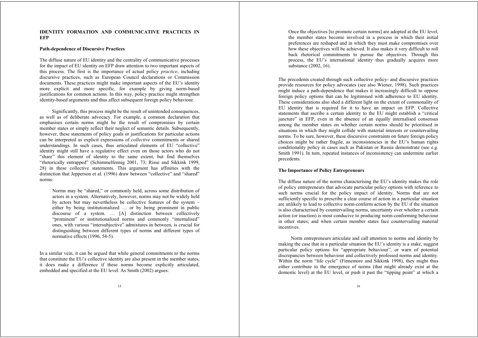#### **IDENTITY FORMATION AND COMMUNICATIVE PRACTICES IN EFP**

#### **Path-dependence of Discursive Practices**

The diffuse nature of EU identity and the centrality of communicative processes for the impact of EU identity on EFP draw attention to two important aspects of this process. The first is the importance of actual policy *practice*, including discursive practices, such as European Council declarations or Commission documents. These practices might make important aspects of the EU's identity more explicit and more specific, for example by giving norm-based justifications for common actions. In this way, policy practice might strengthen identity-based arguments and thus affect subsequent foreign policy behaviour.

Significantly, this process might be the result of unintended consequences, as well as of deliberate advocacy. For example, a common declaration that emphasises certain norms might be the result of compromises by certain member states or simply reflect their neglect of semantic details. Subsequently, however, these statements of policy goals or justifications for particular actions can be interpreted as explicit expressions of *collective* commitments or shared understandings. In such cases, thus articulated elements of EU "collective" identity might still have a regulative effect even on those actors who do not "share" this element of identity to the same extent, but find themselves "rhetorically entrapped" (Schimmelfennig 2001, 73; Risse and Sikkink 1999, 28) in these collective statements. This argument has affinities with the distinction that Jepperson et al. (1996) draw between "collective" and "shared" norms:

Norms may be "shared," or commonly held, across some distribution of actors in a system. Alternatively, however, norms may not be widely held by actors but may nevertheless be collective features of the system – either by being institutionalized … or by being prominent in public discourse of a system. … [A] distinction between collectively "prominent" or institutionalized norms and commonly "internalised" ones, with various "intersubjective" admixtures in between, is crucial for distinguishing between different types of norms and different types of normative effects (1996, 54-5).

In a similar vein, it can be argued that while general commitments to the norms that constitute the EU's collective identity are also present in the member states, it does make a difference if these norms become explicitly articulated, embedded and specified at the EU level. As Smith (2002) argues:

Once the objectives [to promote certain norms] are adopted at the EU level, the member states become involved in a process in which their initial preferences are reshaped and in which they must make compromises over how these objectives will be achieved. It also makes it very difficult to roll back rhetorical commitments to pursue the objectives. Through this process, the EU's international identity thus gradually acquires more substance (2002, 16).

The precedents created through such collective policy- and discursive practices provide resources for policy advocates (see also Wiener, 1998). Such practices might induce a path-dependence that makes it increasingly difficult to oppose foreign policy options that can be legitimised with adherence to EU identity. These considerations also shed a different light on the extent of commonality of EU identity that is required for it to have an impact on EFP. Collective statements that ascribe a certain identity to the EU might establish a "critical juncture" in EFP, even in the absence of an equally internalised consensus among the member states on whether certain norms should be prioritised in situations in which they might collide with material interests or countervailing norms. To be sure, however, these discursive constraints on future foreign policy choices might be rather fragile, as inconsistencies in the EU's human rights conditionality policy in cases such as Pakistan or Russia demonstrate (see e.g. Smith 1991). In turn, repeated instances of inconsistency can undermine earlier precedents.

#### **The Importance of Policy Entrepreneurs**

The diffuse nature of the norms characterising the EU's identity makes the role of policy entrepreneurs that advocate particular policy options with reference to such norms crucial for the policy impact of identity. Norms that are not sufficiently specific to prescribe a clear course of action in a particular situation are unlikely to lead to collective norm-conform action by the EU if the situation is also characterised by countervailing norms, uncertainty over whether a certain action (or inaction) is most conducive to producing norm-conforming behaviour in other states; and when certain member states face countervailing material incentives.

Norm entrepreneurs articulate and call attention to norms and identity by making the case that in a particular situation the EU's identity is a stake, suggest particular policy options for "appropriate behaviour", or warn of potential discrepancies between behaviour and collectively professed norms and identity. Within the norm "life cycle" (Finnemore and Sikkink 1998), they might thus either contribute to the emergence of norms (that might already exist at the domestic level) at the EU level, or push it past the "tipping point" at which a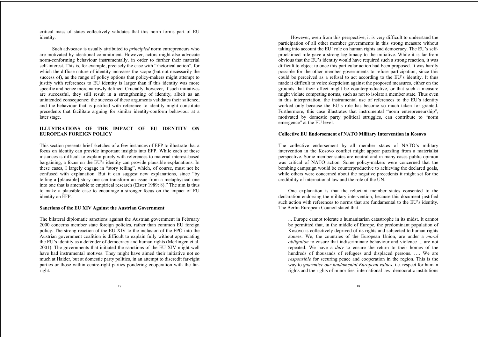critical mass of states collectively validates that this norm forms part of EU identity.

Such advocacy is usually attributed to *principled* norm entrepreneurs who are motivated by ideational commitment. However, actors might also advocate norm-conforming behaviour instrumentally, in order to further their material self-interest. This is, for example, precisely the case with "rhetorical action", for which the diffuse nature of identity increases the scope (but not necessarily the success of), as the range of policy options that policy-makers might attempt to justify with references to EU identity is larger than if this identity was more specific and hence more narrowly defined. Crucially, however, if such initiatives are successful, they still result in a strengthening of identity, albeit as an unintended consequence: the success of these arguments validates their salience, and the behaviour that is justified with reference to identity might constitute precedents that facilitate arguing for similar identity-conform behaviour at a later stage.

# **ILLUSTRATIONS OF THE IMPACT OF EU IDENTITY ON EUROPEAN FOREIGN POLICY**

This section presents brief sketches of a few instances of EFP to illustrate that a focus on identity can provide important insights into EFP. While each of these instances is difficult to explain purely with references to material interest-based bargaining, a focus on the EU's identity can provide plausible explanations. In these cases, I largely engage in "story telling", which, of course, must not be confused with explanation. But it can suggest new explanations, since "by telling a [plausible] story one can transform an issue from a metaphysical one into one that is amenable to empirical research (Elster 1989: 8)." The aim is thus to make a plausible case to encourage a stronger focus on the impact of EU identity on EFP.

#### **Sanctions of the EU XIV Against the Austrian Government**

The bilateral diplomatic sanctions against the Austrian government in February 2000 concerns member state foreign policies, rather than common EU foreign policy. The strong reaction of the EU XIV to the inclusion of the FPÖ into the Austrian government coalition is difficult to explain fully without appreciating the EU's identity as a defender of democracy and human rights (Merlingen et al. 2001). The governments that initiated the sanctions of the EU XIV might well have had instrumental motives. They might have aimed their initiative not so much at Haider, but at domestic party politics, in an attempt to discredit far-right parties or those within centre-right parties pondering cooperation with the farright.

However, even from this perspective, it is very difficult to understand the participation of all other member governments in this strong measure without taking into account the EU' role on human rights and democracy. The EU's selfproclaimed role gave a strong legitimacy to the initiative. While it is far from obvious that the EU's identity would have required such a strong reaction, it was difficult to object to once this particular action had been proposed. It was hardly possible for the other member governments to refuse participation, since this could be perceived as a refusal to act according to the EU's identity. It thus made it difficult to voice skepticism against the proposed measures, either on the grounds that their effect might be counterproductive, or that such a measure might violate competing norms, such as not to isolate a member state. Thus even in this interpretation, the instrumental use of references to the EU's identity worked only because the EU's role has become so much taken for granted. Furthermore, this case illustrates that instrumental "norm entrepreneurship", motivated by domestic party political struggles, can contribute to "norm emergence" at the EU level.

#### **Collective EU Endorsement of NATO Military Intervention in Kosovo**

The collective endorsement by all member states of NATO's military intervention in the Kosovo conflict might appear puzzling from a materialist perspective. Some member states are neutral and in many cases public opinion was critical of NATO action. Some policy-makers were concerned that the bombing campaign would be counterproductive to achieving the declared goals, while others were concerned about the negative precedents it might set for the credibility of international law and the role of the UN.

One explanation is that the reluctant member states consented to the declaration endorsing the military intervention, because this document justified such action with references to norms that are fundamental to the EU's identity. The Berlin European Council stated that

... Europe cannot tolerate a humanitarian catastrophe in its midst. It cannot be permitted that, in the middle of Europe, the predominant population of Kosovo is collectively deprived of its rights and subjected to human rights abuses. We, the countries of the European Union, are under a *moral obligation* to ensure that indiscriminate behaviour and violence ... are not repeated. We have a *duty* to ensure the return to their homes of the hundreds of thousands of refugees and displaced persons. …. We are *responsible* for securing peace and cooperation in the region. This is the way to *guarantee our fundamental European values*, i.e. respect for human rights and the rights of minorities, international law, democratic institutions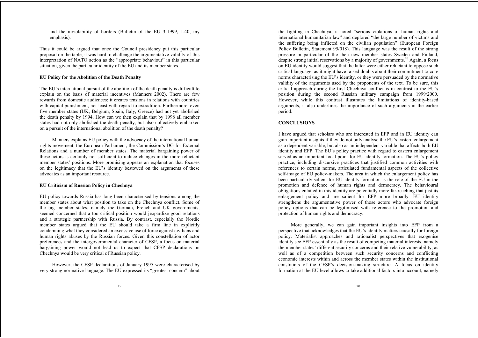and the inviolability of borders (Bulletin of the EU 3-1999, 1.40; my emphasis).

Thus it could be argued that once the Council presidency put this particular proposal on the table, it was hard to challenge the argumentative validity of this interpretation of NATO action as the "appropriate behaviour" in this particular situation, given the particular identity of the EU and its member states.

#### **EU Policy for the Abolition of the Death Penalty**

The EU's international pursuit of the abolition of the death penalty is difficult to explain on the basis of material incentives (Manners 2002). There are few rewards from domestic audiences; it creates tensions in relations with countries with capital punishment, not least with regard to extradition. Furthermore, even five member states (UK, Belgium, Spain, Italy, Greece) had not yet abolished the death penalty by 1994. How can we then explain that by 1998 all member states had not only abolished the death penalty, but also collectively embarked on a pursuit of the international abolition of the death penalty?

Manners explains EU policy with the advocacy of the international human rights movement, the European Parliament, the Commission's DG for External Relations and a number of member states. The material bargaining power of these actors is certainly not sufficient to induce changes in the more reluctant member states' positions. More promising appears an explanation that focuses on the legitimacy that the EU's identity bestowed on the arguments of these advocates as an important resource.

#### **EU Criticism of Russian Policy in Chechnya**

EU policy towards Russia has long been characterised by tensions among the member states about what position to take on the Chechnya conflict. Some of the big member states, namely the German, French and UK governments, seemed concerned that a too critical position would jeopardize good relations and a strategic partnership with Russia. By contrast, especially the Nordic member states argued that the EU should take a firm line in explicitly condemning what they considered an excessive use of force against civilians and human rights abuses by the Russian forces. Given this constellation of actor preferences and the intergovernmental character of CFSP, a focus on material bargaining power would not lead us to expect that CFSP declarations on Chechnya would be very critical of Russian policy.

However, the CFSP declarations of January 1995 were characterised by very strong normative language. The EU expressed its "greatest concern" about the fighting in Chechnya, it noted "serious violations of human rights and international humanitarian law" and deplored "the large number of victims and the suffering being inflicted on the civilian population" (European Foreign Policy Bulletin, Statement 95/018). This language was the result of the strong pressure in particular of the then new member states Sweden and Finland, despite strong initial reservations by a majority of governments.<sup>10</sup> Again, a focus on EU identity would suggest that the latter were either reluctant to oppose such critical language, as it might have raised doubts about their commitment to core norms characterising the EU's identity, or they were persuaded by the normative validity of the arguments used by the proponents of the text. To be sure, this critical approach during the first Chechnya conflict is in contrast to the EU's position during the second Russian military campaign from 1999/2000. However, while this contrast illustrates the limitations of identity-based arguments, it also underlines the importance of such arguments in the earlier period.

#### **CONCLUSIONS**

I have argued that scholars who are interested in EFP and in EU identity can gain important insights if they do not only analyse the EU's eastern enlargement as a dependent variable, but also as an independent variable that affects both EU identity and EFP. The EU's policy practice with regard to eastern enlargement served as an important focal point for EU identity formation. The EU's policy practice, including discursive practices that justified common activities with references to certain norms, articulated fundamental aspects of the collective self-image of EU policy-makers. The area in which the enlargement policy has been particularly salient for EU identity formation is the role of the EU in the promotion and defence of human rights and democracy. The behavioural obligations entailed in this identity are potentially more far-reaching that just its enlargement policy and are salient for EFP more broadly. EU identity strengthens the argumentative power of those actors who advocate foreign policy options that can be legitimised with reference to the promotion and protection of human rights and democracy.

More generally, we can gain important insights into EFP from a perspective that acknowledges that the EU's identity matters causally for foreign policy. Materialist approaches and rationalist perspectives that exogenise identity see EFP essentially as the result of competing material interests, namely the member states' different security concerns and their relative vulnerability, as well as of a competition between such security concerns and conflicting economic interests within and across the member states within the institutional constraints of the CFSP's decision-making structure. A focus on identity formation at the EU level allows to take additional factors into account, namely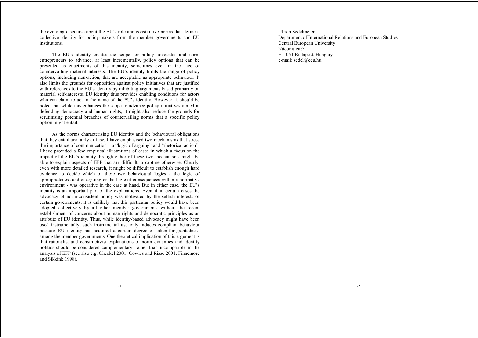the evolving discourse about the EU's role and constitutive norms that define a collective identity for policy-makers from the member governments and EU institutions.

The EU's identity creates the scope for policy advocates and norm entrepreneurs to advance, at least incrementally, policy options that can be presented as enactments of this identity, sometimes even in the face of countervailing material interests. The EU's identity limits the range of policy options, including non-action, that are acceptable as appropriate behaviour. It also limits the grounds for opposition against policy initiatives that are justified with references to the EU's identity by inhibiting arguments based primarily on material self-interests. EU identity thus provides enabling conditions for actors who can claim to act in the name of the EU's identity. However, it should be noted that while this enhances the scope to advance policy initiatives aimed at defending democracy and human rights, it might also reduce the grounds for scrutinising potential breaches of countervailing norms that a specific policy option might entail.

As the norms characterising EU identity and the behavioural obligations that they entail are fairly diffuse, I have emphasised two mechanisms that stress the importance of communication – a "logic of arguing" and "rhetorical action". I have provided a few empirical illustrations of cases in which a focus on the impact of the EU's identity through either of these two mechanisms might be able to explain aspects of EFP that are difficult to capture otherwise. Clearly, even with more detailed research, it might be difficult to establish enough hard evidence to decide which of these two behavioural logics - the logic of appropriateness and of arguing or the logic of consequences within a normative environment - was operative in the case at hand. But in either case, the EU's identity is an important part of the explanations. Even if in certain cases the advocacy of norm-consistent policy was motivated by the selfish interests of certain governments, it is unlikely that this particular policy would have been adopted collectively by all other member governments without the recent establishment of concerns about human rights and democratic principles as an attribute of EU identity. Thus, while identity-based advocacy might have been used instrumentally, such instrumental use only induces compliant behaviour because EU identity has acquired a certain degree of taken-for-grantedness among the member governments. One theoretical implication of this argument is that rationalist and constructivist explanations of norm dynamics and identity politics should be considered complementary, rather than incompatible in the analysis of EFP (see also e.g. Checkel 2001; Cowles and Risse 2001; Finnemore and Sikkink 1998).

Ulrich Sedelmeier Department of International Relations and European Studies Central European University Nádor utca 9 H-1051 Budapest, Hungary e-mail: sedel@ceu.hu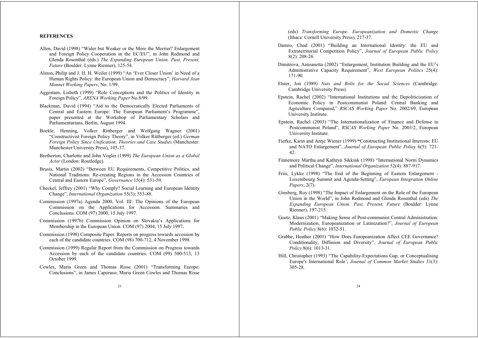#### **REFERENCES**

- Allen, David (1998) "Wider but Weaker or the More the Merrier? Enlargement and Foreign Policy Cooperation in the EC/EU", in John Redmond and Glenda Rosenthal (eds.) *The Expanding European Union. Past, Present, Future* (Boulder: Lynne Rienner), 125-54.
- Alston, Philip and J. H. H. Weiler (1999) "An 'Ever Closer Union' in Need of a Human Rights Policy: the European Union and Democracy", *Harvard Jean Monnet Working Papers*, No. 1/99.
- Aggestam, Lisbeth (1999) "Role Conceptions and the Politics of Identity in Foreign Policy", *ARENA Working Paper* No.8/99.
- Blackman, David (1994) "Aid to the Democratically Elected Parliaments of Central and Eastern Europe: The European Parliament's Programme", paper presented at the Workshop of Parliamentary Scholars and Parliamentarians, Berlin, August 1994.
- Boekle, Henning, Volker Rittberger and Wolfgang Wagner (2001) "Constructivist Foreign Policy Theory", in Volker Rittberger (ed.) *German Foreign Policy Since Unification. Theories and Case Studies* (Manchester: Manchester University Press), 105-37.
- Bretherton, Charlotte and John Vogler (1999) *The European Union as a Global Actor* (London: Routledge).
- Brusis, Martin (2002) "Between EU Requirements, Competitive Politics, and National Traditions: Re-creating Regions in the Accession Countries of Central and Eastern Europe", *Governance* 15(4): 531-59.
- Checkel, Jeffrey (2001) "Why Comply? Social Learning and European Identity Change", *International Organization* 55(3): 553-88.
- Commission (1997a) Agenda 2000, Vol. III: The Opinions of the European Commission on the Applications for Accession. Summaries and Conclusions. COM (97) 2000, 15 July 1997.
- Commission (1997b) Commission Opinion on Slovakia's Applications for Membership in the European Union. COM (97) 2004, 15 July 1997.
- Commission (1998) Composite Paper. Reports on progress towards accession by each of the candidate countries. COM (98) 700-712, 4 November 1998.
- Commission (1999) Regular Report from the Commission on Progress towards Accession by each of the candidate countries. COM (99) 500-513, 13 October 1999.
- Cowles, Maria Green and Thomas Risse (2001) "Transforming Europe: Conclusions", in James Caporaso; Maria Green Cowles and Thomas Risse

(eds) *Transforming Europe. Europeanization and Domestic Change* (Ithaca: Cornell University Press), 217-37.

- Damro, Chad (2001) "Building an International Identity: the EU and Extraterritorial Competition Policy", *Journal of European Public Policy* 8(2): 208-26.
- Dimitrova, Antoanetta (2002) "Enlargement, Institution Building and the EU's Administrative Capacity Requirement", *West European Politics* 25(4): 171-90.
- Elster, Jon (1989) *Nuts and Bolts for the Social Sciences* (Cambridge: Cambridge University Press).
- Epstein, Rachel (2002) "International Institutions and the Depoliticization of Economic Policy in Postcommunist Poland: Central Banking and Agriculture Compared," *RSCAS Working Paper* No. 2002/69, European University Institute.
- Epstein, Rachel (2003) "The Internationalization of Finance and Defense in Postcommunist Poland", *RSCAS Working Paper* No. 2003/2, European University Institute.
- Fierke, Karin and Antje Wiener (1999) **"**Constructing Institutional Interests: EU and NATO Enlargement", *Journal of European Public Policy* 6(5): 721- 42.
- Finnemore Martha and Kathryn Sikkink (1998) "International Norm Dynamics and Political Change", *International Organization* 52(4): 887-917.
- Friis, Lykke (1998) "The End of the Beginning of Eastern Enlargement Luxembourg Summit and Agenda-Setting", *European Integration Online Papers*, 2(7).
- Ginsberg, Roy (1998) "The Impact of Enlargement on the Role of the European Union in the World", in John Redmond and Glenda Rosenthal (eds) *The Expanding European Union. Past, Present, Future* (Boulder: Lynne Rienner), 197-215.
- Goetz, Klaus (2001) "Making Sense of Post-communist Central Administration: Modernization, Europeanization or Latinization?", *Journal of European Public Policy* 8(6): 1032-51.
- Grabbe, Heather (2001) "How Does Europeanization Affect CEE Governance? Conditionality, Diffusion and Diversity", *Journal of European Public Policy* 8(6): 1013-31.
- Hill, Christopher (1993) "The Capability-Expectations Gap, or Conceptualising Europe's International Role', *Journal of Common Market Studies* 31(3): 305-28.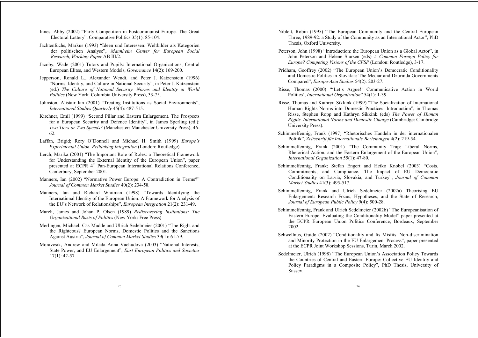- Innes, Abby (2002) "Party Competition in Postcommunist Europe. The Great Electoral Lottery", Comparative Politics 35(1): 85-104.
- Jachtenfuchs, Markus (1993) "Ideen und Interessen: Weltbilder als Kategorien der politischen Analyse", *Mannheim Center for European Social Research, Working Paper* AB III/2.
- Jacoby, Wade (2001) Tutors and Pupils: International Organizations, Central European Elites, and Western Models, *Governance* 14(2): 169-200.
- Jepperson, Ronald L., Alexander Wendt, and Peter J. Katzenstein (1996) "Norms, Identity, and Culture in National Security", in Peter J. Katzenstein (ed.) *The Culture of National Security. Norms and Identity in World Politics* (New York: Columbia University Press), 33-75.
- Johnston, Alistair Ian (2001) "Treating Institutions as Social Environments", *International Studies Quarterly* 45(4): 487-515.
- Kirchner, Emil (1999) "Second Pillar and Eastern Enlargement. The Prospects for a European Security and Defence Identity", in James Sperling (ed.): *Two Tiers or Two Speeds?* (Manchester: Manchester University Press), 46- 62.
- Laffan, Brigid; Rory O'Donnell and Michael H. Smith (1999) *Europe's Experimental Union. Rethinking Integration* (London: Routledge).
- Lerch, Marika (2001) "The Important Role of Roles: a Theoretical Framework for Understanding the External Identity of the European Union", paper presented at ECPR 4<sup>th</sup> Pan-European International Relations Conference. Canterbury, September 2001.
- Manners, Ian (2002) "Normative Power Europe: A Contradiction in Terms?" *Journal of Common Market Studies* 40(2): 234-58.
- Manners, Ian and Richard Whitman (1998) "Towards Identifying the International Identity of the European Union: A Framework for Analysis of the EU's Network of Relationships", *European Integration* 21(2): 231-49.
- March, James and Johan P. Olsen (1989) *Rediscovering Institutions: The Organizational Basis of Politics* (New York: Free Press).
- Merlingen, Michael; Cas Mudde and Ulrich Sedelmeier (2001) "The Right and the Righteous? European Norms, Domestic Politics and the Sanctions Against Austria", *Journal of Common Market Studies* 39(1): 61-79.
- Moravcsik, Andrew and Milada Anna Vachudova (2003) "National Interests, State Power, and EU Enlargement", *East European Politics and Societies* 17(1): 42-57.
- Niblett, Robin (1995) "The European Community and the Central European Three, 1989-92: a Study of the Community as an International Actor", PhD Thesis, Oxford University.
- Peterson, John (1998) "Introduction: the European Union as a Global Actor", in John Peterson and Helene Sjursen (eds) *A Common Foreign Policy for Europe? Competing Visions of the CFSP* (London: Routledge), 3-17.
- Pridham, Geoffrey (2002) "The European Union's Democratic Conditionality and Domestic Politics in Slovakia: The Meciar and Dzurinda Governments Compared", *Europe-Asia Studies* 54(2): 203-27.
- Risse, Thomas (2000) "'Let's Argue!' Communicative Action in World Politics', *International Organization*" 54(1): 1-39.
- Risse, Thomas and Kathryn Sikkink (1999) "The Socialization of International Human Rights Norms into Domestic Practices: Introduction", in Thomas Risse, Stephen Ropp and Kathryn Sikkink (eds) *The Power of Human Rights. International Norms and Domestic Change* (Cambridge: Cambridge University Press).
- Schimmelfennig, Frank (1997) "Rhetorisches Handeln in der internationalen Politik", *Zeitschrift für Internationale Beziehungen* 4(2): 219-54.
- Schimmelfennig, Frank (2001) "The Community Trap: Liberal Norms, Rhetorical Action, and the Eastern Enlargement of the European Union", *International Organization* 55(1): 47-80.
- Schimmelfennig, Frank; Stefan Engert and Heiko Knobel (2003) "Costs, Commitments, and Compliance. The Impact of EU Democratic Conditionality on Latvia, Slovakia, and Turkey", *Journal of Common Market Studies* 41(3): 495-517.
- Schimmelfennig, Frank and Ulrich Sedelmeier (2002a) Theorising EU Enlargement: Research Focus, Hypotheses, and the State of Research, *Journal of European Public Policy* 9(4): 500-28.
- Schimmelfennig, Frank and Ulrich Sedelmeier (2002b) "The Europeanisation of Eastern Europe. Evaluating the Conditionality Model" paper presented at the ECPR European Union Politics Conference, Bordeaux, September 2002.
- Schwellnus, Guido (2002) "Conditionality and Its Misfits. Non-discrimination and Minority Protection in the EU Enlargement Process", paper presented at the ECPR Joint Workshop Sessions, Turin, March 2002.
- Sedelmeier, Ulrich (1998) "The European Union's Association Policy Towards the Countries of Central and Eastern Europe: Collective EU Identity and Policy Paradigms in a Composite Policy", PhD Thesis, University of Sussex.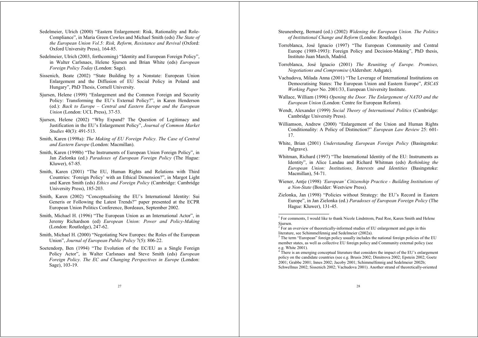- Sedelmeier, Ulrich (2000) "Eastern Enlargement: Risk, Rationality and Role-Compliance", in Maria Green Cowles and Michael Smith (eds) *The State of the European Union Vol.5: Risk, Reform, Resistance and Revival* (Oxford: Oxford University Press), 164-85.
- Sedelmeier, Ulrich (2003, forthcoming) "Identity and European Foreign Policy", in Walter Carlsnaes, Helene Sjursen and Brian White (eds) *European Foreign Policy Today* (London: Sage).
- Sissenich, Beate (2002) "State Building by a Nonstate: European Union Enlargement and the Diffusion of EU Social Policy in Poland and Hungary", PhD Thesis, Cornell University.
- Sjursen, Helene (1999) "Enlargement and the Common Foreign and Security Policy: Transforming the EU's External Policy?", in Karen Henderson (ed.): *Back to Europe – Central and Eastern Europe and the European Union* (London: UCL Press), 37-53.
- Sjursen, Helene (2002) "Why Expand? The Question of Legitimacy and Justification in the EU's Enlargement Policy", *Journal of Common Market Studies* 40(3): 491-513.
- Smith, Karen (1998a): *The Making of EU Foreign Policy. The Case of Central and Eastern Europe* (London: Macmillan).
- Smith, Karen (1998b) "The Instruments of European Union Foreign Policy", in Jan Zielonka (ed.) *Paradoxes of European Foreign Policy* (The Hague: Kluwer), 67-85.
- Smith, Karen (2001) "The EU, Human Rights and Relations with Third Countries: 'Foreign Policy' with an Ethical Dimension?", in Margot Light and Karen Smith (eds) *Ethics and Foreign Policy* (Cambridge: Cambridge University Press), 185-203.
- Smith, Karen (2002) "Conceptualising the EU's International Identity: Sui Generis or Following the Latest Trends?" paper presented at the ECPR European Union Politics Conference, Bordeaux, September 2002.
- Smith, Michael H. (1996) "The European Union as an International Actor", in Jeremy Richardson (ed) *European Union: Power and Policy-Making* (London: Routledge), 247-62.
- Smith, Michael H. (2000) "Negotiating New Europes: the Roles of the European Union", *Journal of European Public Policy* 7(5): 806-22.
- Soetendorp, Ben (1994) "The Evolution of the EC/EU as a Single Foreign Policy Actor", in Walter Carlsnaes and Steve Smith (eds) *European Foreign Policy. The EC and Changing Perspectives in Europe* (London: Sage), 103-19.

Steunenberg, Bernard (ed.) (2002) *Widening the European Union. The Politics of Institutional Change and Reform* (London: Routledge).

- Torreblanca, José Ignacio (1997) "The European Community and Central Europe (1989-1993): Foreign Policy and Decision-Making", PhD thesis, Instituto Juan March, Madrid.
- Torreblanca, José Ignacio (2001) *The Reuniting of Europe. Promises, Negotiations and Compromise* (Aldershot: Ashgate).
- Vachudova, Milada Anna (2001) "The Leverage of International Institutions on Democratising States: The European Union and Eastern Europe", *RSCAS Working Paper* No. 2001/33, European University Institute.
- Wallace, William (1996) *Opening the Door. The Enlargement of NATO and the European Union* (London: Centre for European Reform).
- Wendt, Alexander (1999) *Social Theory of International Politics* (Cambridge: Cambridge University Press).
- Williamson, Andrew (2000) "Enlargement of the Union and Human Rights Conditionality: A Policy of Distinction?" *European Law Review* 25: 601- 17.
- White, Brian (2001) *Understanding European Foreign Policy* (Basingstoke: Palgrave).
- Whitman, Richard (1997) "The International Identity of the EU: Instruments as Identity", in Alice Landau and Richard Whitman (eds) *Rethinking the European Union: Institutions, Interests and Identities* (Basingstoke: Macmillan), 54-71.
- Wiener, Antje (1998) *'European' Citizenship Practice Building Institutions of a Non-State* (Boulder: Westview Press).
- Zielonka, Jan (1998) "Policies without Strategy: the EU's Record in Eastern Europe", in Jan Zielonka (ed.) *Paradoxes of European Foreign Policy* (The Hague: Kluwer), 131-45.

<sup>&</sup>lt;sup>1</sup> For comments, I would like to thank Nicole Lindstrom, Paul Roe, Karen Smith and Helene Sjursen.

 $2^{2}$  For an overview of theoretically-informed studies of EU enlargement and gaps in this literature, see Schimmelfennig and Sedelmeier (2002a).

<sup>&</sup>lt;sup>3</sup> The term "European" foreign policy usually includes the national foreign policies of the EU member states, as well as collective EU foreign policy and Community external policy (see e.g. White 2001).

<sup>&</sup>lt;sup>4</sup> There is an emerging conceptual literature that considers the impact of the EU's enlargement policy on the candidate countries (see e.g. Brusis 2002; Dimitrova 2002; Epstein 2002; Goetz 2001; Grabbe 2001; Innes 2002; Jacoby 2001; Schimmelfennig and Sedelmeier 2002b; Schwellnus 2002; Sissenich 2002; Vachudova 2001). Another strand of theoretically-oriented